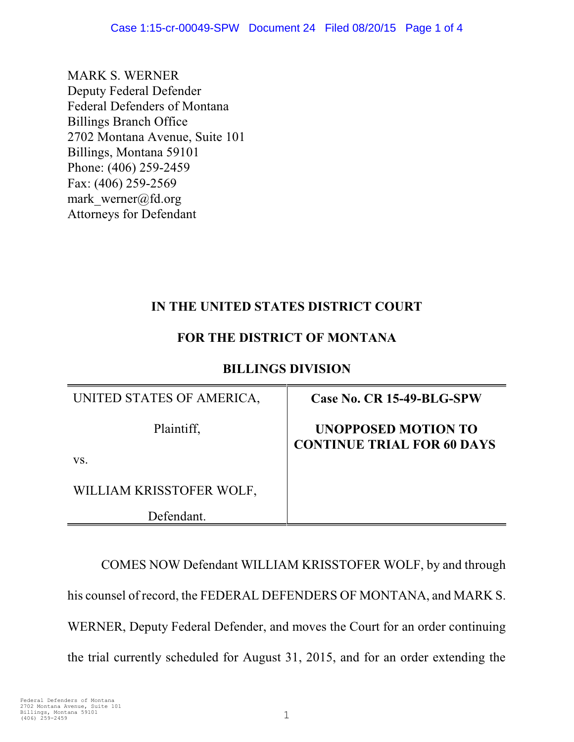MARK S. WERNER Deputy Federal Defender Federal Defenders of Montana Billings Branch Office 2702 Montana Avenue, Suite 101 Billings, Montana 59101 Phone: (406) 259-2459 Fax: (406) 259-2569 mark werner@fd.org Attorneys for Defendant

# **IN THE UNITED STATES DISTRICT COURT**

### **FOR THE DISTRICT OF MONTANA**

#### **BILLINGS DIVISION**

| UNITED STATES OF AMERICA, | Case No. CR 15-49-BLG-SPW                                       |
|---------------------------|-----------------------------------------------------------------|
| Plaintiff,                | <b>UNOPPOSED MOTION TO</b><br><b>CONTINUE TRIAL FOR 60 DAYS</b> |
| VS.                       |                                                                 |
| WILLIAM KRISSTOFER WOLF,  |                                                                 |
| Defendant.                |                                                                 |

COMES NOW Defendant WILLIAM KRISSTOFER WOLF, by and through his counsel of record, the FEDERAL DEFENDERS OF MONTANA, and MARK S. WERNER, Deputy Federal Defender, and moves the Court for an order continuing the trial currently scheduled for August 31, 2015, and for an order extending the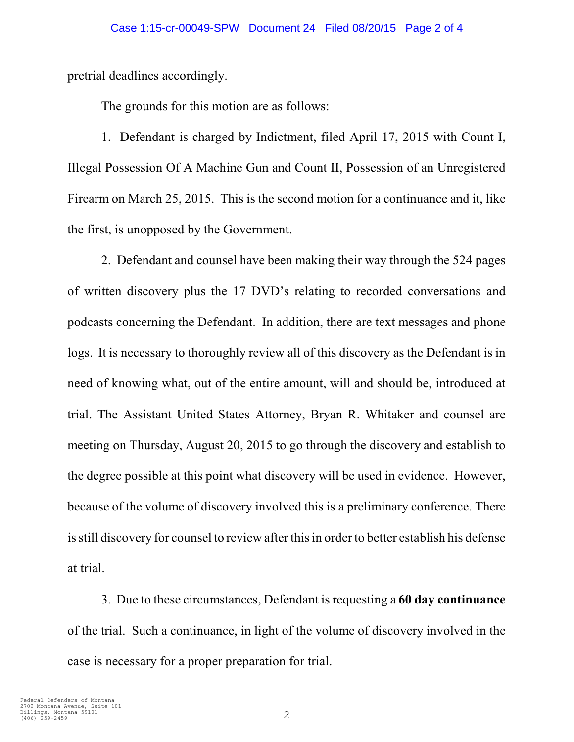pretrial deadlines accordingly.

The grounds for this motion are as follows:

1. Defendant is charged by Indictment, filed April 17, 2015 with Count I, Illegal Possession Of A Machine Gun and Count II, Possession of an Unregistered Firearm on March 25, 2015. This is the second motion for a continuance and it, like the first, is unopposed by the Government.

2. Defendant and counsel have been making their way through the 524 pages of written discovery plus the 17 DVD's relating to recorded conversations and podcasts concerning the Defendant. In addition, there are text messages and phone logs. It is necessary to thoroughly review all of this discovery as the Defendant is in need of knowing what, out of the entire amount, will and should be, introduced at trial. The Assistant United States Attorney, Bryan R. Whitaker and counsel are meeting on Thursday, August 20, 2015 to go through the discovery and establish to the degree possible at this point what discovery will be used in evidence. However, because of the volume of discovery involved this is a preliminary conference. There is still discovery for counsel to review after this in order to better establish his defense at trial.

3. Due to these circumstances, Defendant is requesting a **60 day continuance** of the trial. Such a continuance, in light of the volume of discovery involved in the case is necessary for a proper preparation for trial.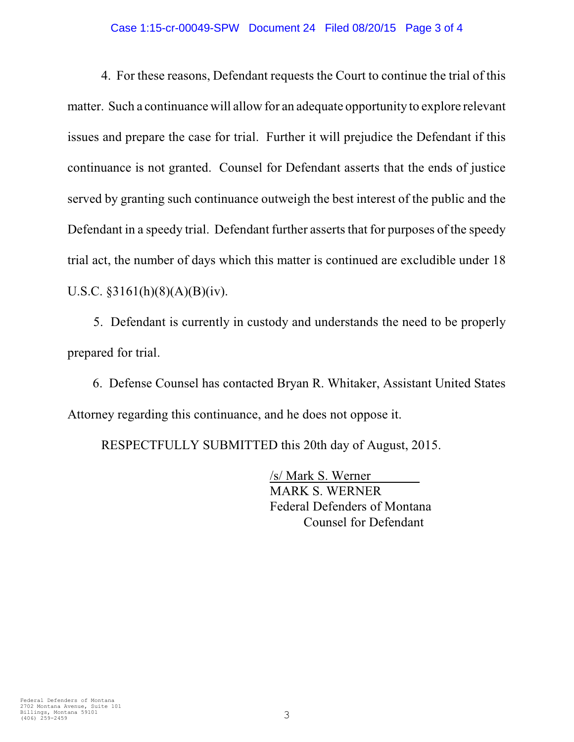#### Case 1:15-cr-00049-SPW Document 24 Filed 08/20/15 Page 3 of 4

4. For these reasons, Defendant requests the Court to continue the trial of this matter. Such a continuance will allow for an adequate opportunity to explore relevant issues and prepare the case for trial. Further it will prejudice the Defendant if this continuance is not granted. Counsel for Defendant asserts that the ends of justice served by granting such continuance outweigh the best interest of the public and the Defendant in a speedy trial. Defendant further asserts that for purposes of the speedy trial act, the number of days which this matter is continued are excludible under 18 U.S.C. §3161(h)(8)(A)(B)(iv).

5. Defendant is currently in custody and understands the need to be properly prepared for trial.

 6. Defense Counsel has contacted Bryan R. Whitaker, Assistant United States Attorney regarding this continuance, and he does not oppose it.

RESPECTFULLY SUBMITTED this 20th day of August, 2015.

/s/ Mark S. Werner MARK S. WERNER Federal Defenders of Montana Counsel for Defendant